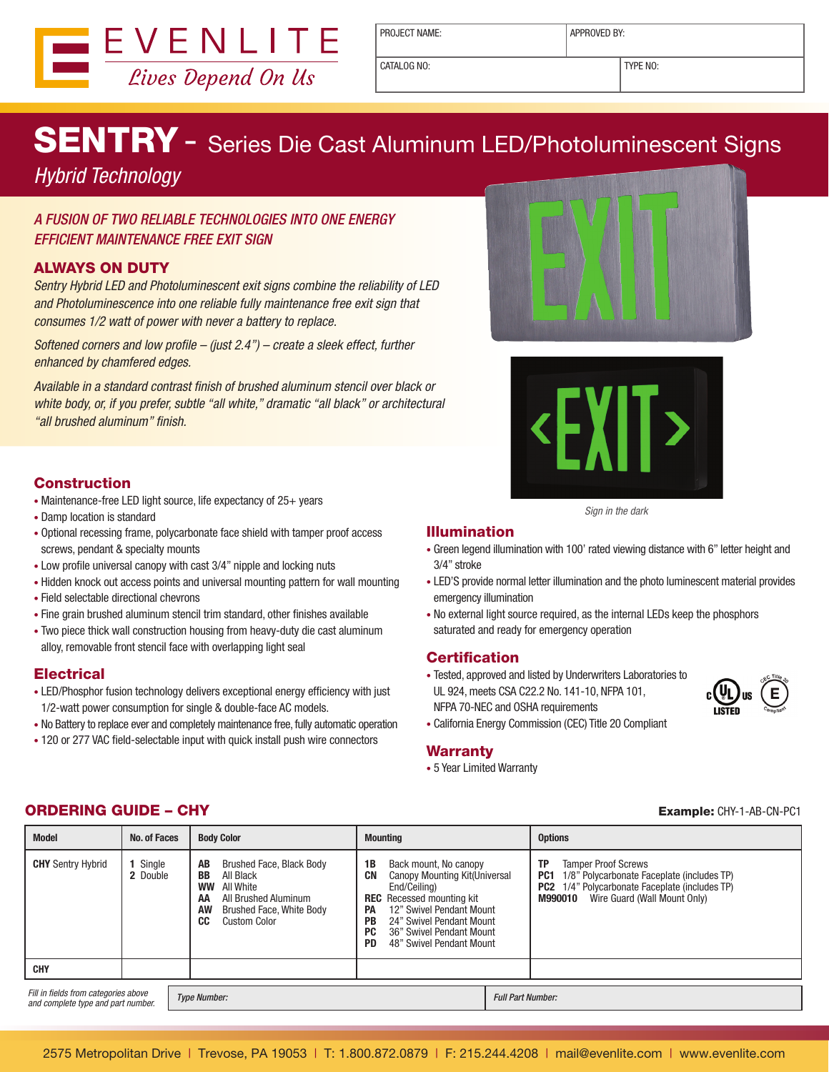

PROJECT NAME: <br> APPROVED BY:

CATALOG NO: TYPE NO:

# SENTRY - Series Die Cast Aluminum LED/Photoluminescent Signs

## *Hybrid Technology*

### A FUSION OF TWO RELIABLE TECHNOLOGIES INTO ONE ENERGY EFFICIENT MAINTENANCE FREE EXIT SIGN

### ALWAYS ON DUTY

*Sentry Hybrid LED and Photoluminescent exit signs combine the reliability of LED and Photoluminescence into one reliable fully maintenance free exit sign that consumes 1/2 watt of power with never a battery to replace.*

*Softened corners and low profile – (just 2.4") – create a sleek effect, further enhanced by chamfered edges.* 

*Available in a standard contrast finish of brushed aluminum stencil over black or white body, or, if you prefer, subtle "all white," dramatic "all black" or architectural "all brushed aluminum" finish.*

### **Construction**

- Maintenance-free LED light source, life expectancy of 25+ years
- Damp location is standard
- Optional recessing frame, polycarbonate face shield with tamper proof access screws, pendant & specialty mounts
- Low profile universal canopy with cast 3/4" nipple and locking nuts
- Hidden knock out access points and universal mounting pattern for wall mounting
- Field selectable directional chevrons
- Fine grain brushed aluminum stencil trim standard, other finishes available
- Two piece thick wall construction housing from heavy-duty die cast aluminum alloy, removable front stencil face with overlapping light seal

#### **Electrical**

- LED/Phosphor fusion technology delivers exceptional energy efficiency with just 1/2-watt power consumption for single & double-face AC models.
- No Battery to replace ever and completely maintenance free, fully automatic operation
- 120 or 277 VAC field-selectable input with quick install push wire connectors





*Sign in the dark* 

#### Illumination

- Green legend illumination with 100' rated viewing distance with 6" letter height and 3/4" stroke
- LED'S provide normal letter illumination and the photo luminescent material provides emergency illumination
- No external light source required, as the internal LEDs keep the phosphors saturated and ready for emergency operation

### **Certification**

• Tested, approved and listed by Underwriters Laboratories to UL 924, meets CSA C22.2 No. 141-10, NFPA 101, NFPA 70-NEC and OSHA requirements



• California Energy Commission (CEC) Title 20 Compliant

#### **Warranty**

• 5 Year Limited Warranty

| <b>Model</b>                                                               | No. of Faces       | <b>Body Color</b>                                                                                                                                          | <b>Mounting</b>                                                                                                                                                                                                                                                              | <b>Options</b>                                                                                                                                                                                        |  |
|----------------------------------------------------------------------------|--------------------|------------------------------------------------------------------------------------------------------------------------------------------------------------|------------------------------------------------------------------------------------------------------------------------------------------------------------------------------------------------------------------------------------------------------------------------------|-------------------------------------------------------------------------------------------------------------------------------------------------------------------------------------------------------|--|
| <b>CHY</b> Sentry Hybrid                                                   | Single<br>2 Double | Brushed Face, Black Body<br>AB<br>BB<br>All Black<br>All White<br>WW<br>All Brushed Aluminum<br>ΑА<br>Brushed Face, White Body<br>AW<br>CC<br>Custom Color | Back mount, No canopy<br>1B<br>CN<br>Canopy Mounting Kit(Universal<br>End/Ceiling)<br><b>REC</b> Recessed mounting kit<br>12" Swivel Pendant Mount<br>PA<br>24" Swivel Pendant Mount<br>PB<br><b>PC</b><br>36" Swivel Pendant Mount<br>48" Swivel Pendant Mount<br><b>PD</b> | <b>Tamper Proof Screws</b><br>ТP<br>1/8" Polycarbonate Faceplate (includes TP)<br>PC <sub>1</sub><br><b>PC2</b> 1/4" Polycarbonate Faceplate (includes TP)<br>Wire Guard (Wall Mount Only)<br>M990010 |  |
| <b>CHY</b>                                                                 |                    |                                                                                                                                                            |                                                                                                                                                                                                                                                                              |                                                                                                                                                                                                       |  |
| Fill in fields from categories above<br>and complete type and part number. |                    | <b>Type Number:</b>                                                                                                                                        |                                                                                                                                                                                                                                                                              | <b>Full Part Number:</b>                                                                                                                                                                              |  |

### **ORDERING GUIDE – CHY Example:** CHY-1-AB-CN-PC1